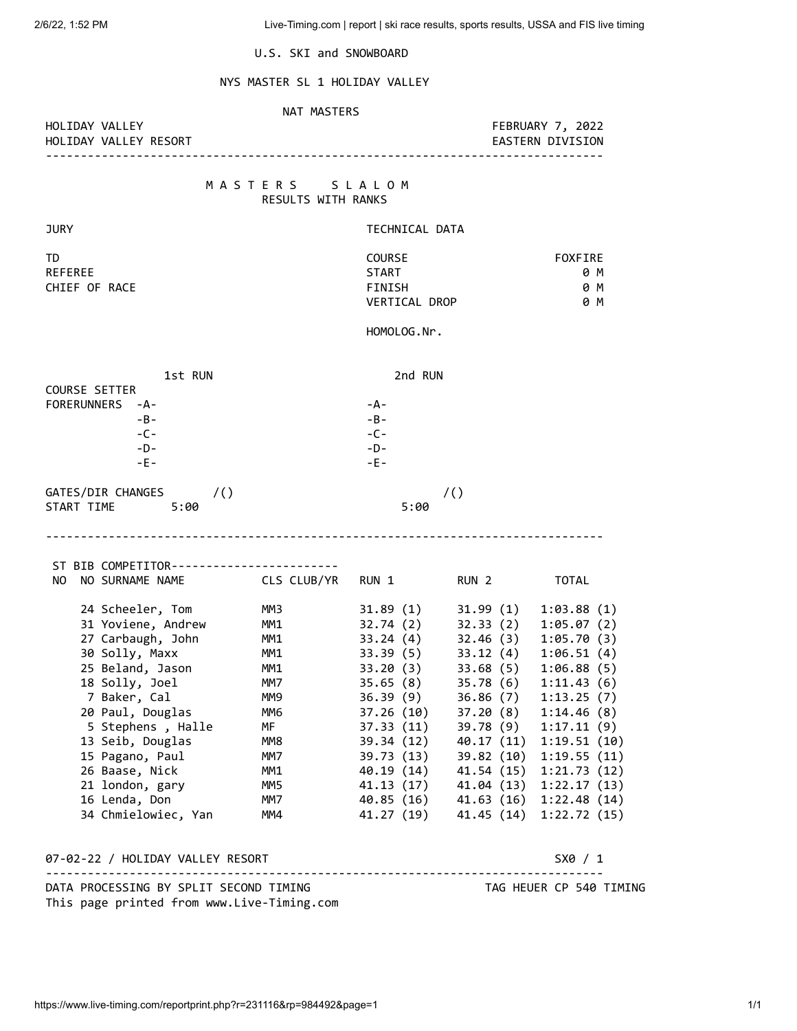U.S. SKI and SNOWBOARD

# NYS MASTER SL 1 HOLIDAY VALLEY

### NAT MASTERS

HOLIDAY VALLEY RESORT EASTERN DIVISION

HOLIDAY VALLEY FEBRUARY 7, 2022

--------------------------------------------------------------------------------

### M A S T E R S S L A L O M RESULTS WITH RANKS

| <b>JURY</b>                                                                                                                                                                                                                                                                                       |                                                                                                      | TECHNICAL DATA                                                                                                             |                                                                                                                                                                                                                                                                                     |                                                                                                                                                                                                                      |  |
|---------------------------------------------------------------------------------------------------------------------------------------------------------------------------------------------------------------------------------------------------------------------------------------------------|------------------------------------------------------------------------------------------------------|----------------------------------------------------------------------------------------------------------------------------|-------------------------------------------------------------------------------------------------------------------------------------------------------------------------------------------------------------------------------------------------------------------------------------|----------------------------------------------------------------------------------------------------------------------------------------------------------------------------------------------------------------------|--|
| TD<br><b>REFEREE</b><br>CHIEF OF RACE                                                                                                                                                                                                                                                             |                                                                                                      | <b>COURSE</b><br><b>START</b><br>FINISH<br>VERTICAL DROP                                                                   |                                                                                                                                                                                                                                                                                     | <b>FOXFIRE</b><br>0 M<br>0 M<br>0 M                                                                                                                                                                                  |  |
|                                                                                                                                                                                                                                                                                                   |                                                                                                      | HOMOLOG.Nr.                                                                                                                |                                                                                                                                                                                                                                                                                     |                                                                                                                                                                                                                      |  |
| 1st RUN<br><b>COURSE SETTER</b><br>FORERUNNERS -A-<br>$-B -$<br>$-C -$<br>$-D-$                                                                                                                                                                                                                   |                                                                                                      | 2nd RUN<br>$-A-$<br>$-B -$<br>$-C -$<br>$-D-$                                                                              |                                                                                                                                                                                                                                                                                     |                                                                                                                                                                                                                      |  |
| $-E -$                                                                                                                                                                                                                                                                                            |                                                                                                      | $-E -$                                                                                                                     |                                                                                                                                                                                                                                                                                     |                                                                                                                                                                                                                      |  |
| GATES/DIR CHANGES<br>$\sqrt{2}$<br>START TIME 5:00                                                                                                                                                                                                                                                |                                                                                                      | /()<br>5:00                                                                                                                |                                                                                                                                                                                                                                                                                     |                                                                                                                                                                                                                      |  |
| ST BIB COMPETITOR------------------------<br>NO.<br>NO SURNAME NAME CLS CLUB/YR RUN 1                                                                                                                                                                                                             |                                                                                                      |                                                                                                                            | RUN 2                                                                                                                                                                                                                                                                               | <b>TOTAL</b>                                                                                                                                                                                                         |  |
| 24 Scheeler, Tom<br>31 Yoviene, Andrew<br>27 Carbaugh, John<br>30 Solly, Maxx<br>25 Beland, Jason<br>18 Solly, Joel<br>7 Baker, Cal<br>20 Paul, Douglas<br>5 Stephens , Halle<br>13 Seib, Douglas<br>15 Pagano, Paul<br>26 Baase, Nick<br>21 london, gary<br>16 Lenda, Don<br>34 Chmielowiec, Yan | ММЗ<br>MM1<br>MM1<br>MM1<br>MM1<br>MM7<br>MM9<br>ММ6<br>MF<br>MM8<br>MM7<br>MM1<br>MM5<br>MM7<br>MM4 | 31.89 (1)<br>32.74 (2)<br>32.74(2)<br>33.24(4)<br>33.39(5)<br>33.20 (3)<br>35.65(8)<br>36.39(9)<br>37.26(10)<br>39.73 (13) | 31.99 (1)<br>32.33 (2)<br>32.46(3)<br>33.12 (4)<br>33.68 (5)<br>35.78 (6)<br>36.86 (7)<br>37.20 (8)<br>39.78 (9)<br>37.33 (11) 39.78 (9)<br>39.34 (12) 40.17 (11)<br>39.82 (10)<br>40.19 (14) 41.54 (15)<br>41.13 (17) 41.04 (13)<br>40.85 (16) 41.63 (16)<br>41.27 (19) 41.45 (14) | 1:03.88(1)<br>1:05.07(2)<br>1:05.70(3)<br>1:06.51(4)<br>1:06.88(5)<br>1:11.43(6)<br>1:13.25(7)<br>1:14.46(8)<br>1:17.11(9)<br>1:19.51(10)<br>1:19.55(11)<br>1:21.73(12)<br>1:22.17(13)<br>1:22.48(14)<br>1:22.72(15) |  |
| 07-02-22 / HOLIDAY VALLEY RESORT                                                                                                                                                                                                                                                                  |                                                                                                      | S X0 / 1                                                                                                                   |                                                                                                                                                                                                                                                                                     |                                                                                                                                                                                                                      |  |
| DATA PROCESSING BY SPLIT SECOND TIMING                                                                                                                                                                                                                                                            |                                                                                                      | TAG HEUER CP 540 TIMING                                                                                                    |                                                                                                                                                                                                                                                                                     |                                                                                                                                                                                                                      |  |

This page printed from www.Live-Timing.com